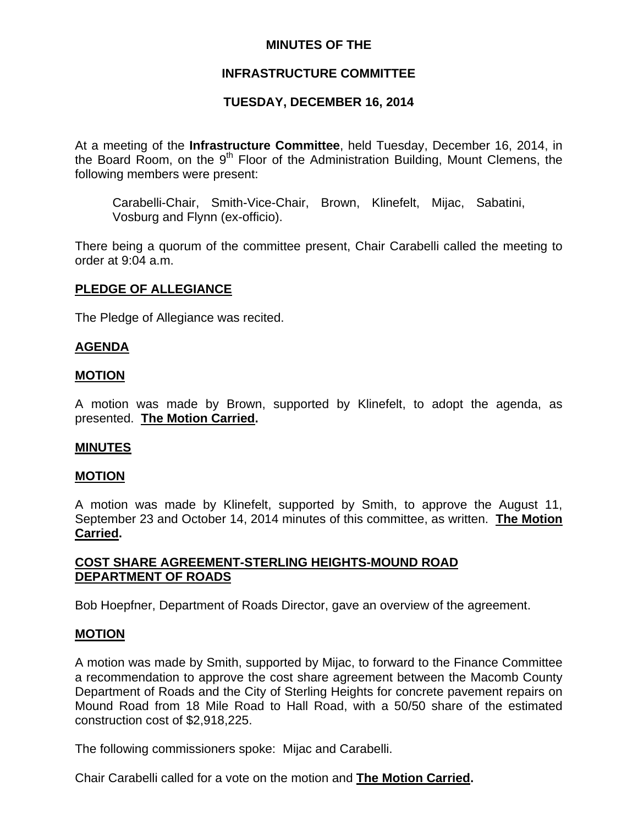# **MINUTES OF THE**

# **INFRASTRUCTURE COMMITTEE**

# **TUESDAY, DECEMBER 16, 2014**

At a meeting of the **Infrastructure Committee**, held Tuesday, December 16, 2014, in the Board Room, on the  $9<sup>th</sup>$  Floor of the Administration Building, Mount Clemens, the following members were present:

Carabelli-Chair, Smith-Vice-Chair, Brown, Klinefelt, Mijac, Sabatini, Vosburg and Flynn (ex-officio).

There being a quorum of the committee present, Chair Carabelli called the meeting to order at 9:04 a.m.

## **PLEDGE OF ALLEGIANCE**

The Pledge of Allegiance was recited.

## **AGENDA**

## **MOTION**

A motion was made by Brown, supported by Klinefelt, to adopt the agenda, as presented. **The Motion Carried.** 

#### **MINUTES**

#### **MOTION**

A motion was made by Klinefelt, supported by Smith, to approve the August 11, September 23 and October 14, 2014 minutes of this committee, as written. **The Motion Carried.** 

## **COST SHARE AGREEMENT-STERLING HEIGHTS-MOUND ROAD DEPARTMENT OF ROADS**

Bob Hoepfner, Department of Roads Director, gave an overview of the agreement.

#### **MOTION**

A motion was made by Smith, supported by Mijac, to forward to the Finance Committee a recommendation to approve the cost share agreement between the Macomb County Department of Roads and the City of Sterling Heights for concrete pavement repairs on Mound Road from 18 Mile Road to Hall Road, with a 50/50 share of the estimated construction cost of \$2,918,225.

The following commissioners spoke: Mijac and Carabelli.

Chair Carabelli called for a vote on the motion and **The Motion Carried.**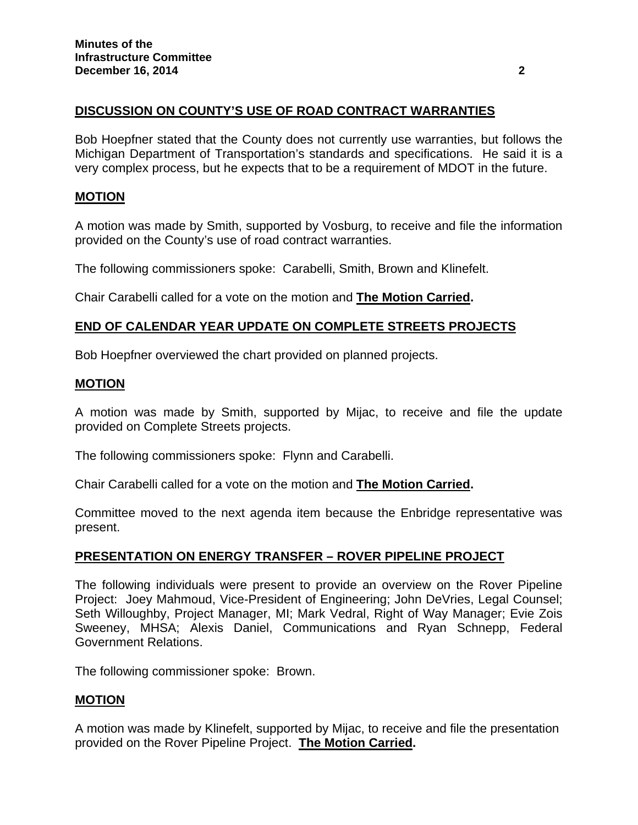# **DISCUSSION ON COUNTY'S USE OF ROAD CONTRACT WARRANTIES**

Bob Hoepfner stated that the County does not currently use warranties, but follows the Michigan Department of Transportation's standards and specifications. He said it is a very complex process, but he expects that to be a requirement of MDOT in the future.

# **MOTION**

A motion was made by Smith, supported by Vosburg, to receive and file the information provided on the County's use of road contract warranties.

The following commissioners spoke: Carabelli, Smith, Brown and Klinefelt.

Chair Carabelli called for a vote on the motion and **The Motion Carried.**

#### **END OF CALENDAR YEAR UPDATE ON COMPLETE STREETS PROJECTS**

Bob Hoepfner overviewed the chart provided on planned projects.

#### **MOTION**

A motion was made by Smith, supported by Mijac, to receive and file the update provided on Complete Streets projects.

The following commissioners spoke: Flynn and Carabelli.

Chair Carabelli called for a vote on the motion and **The Motion Carried.**

Committee moved to the next agenda item because the Enbridge representative was present.

#### **PRESENTATION ON ENERGY TRANSFER – ROVER PIPELINE PROJECT**

The following individuals were present to provide an overview on the Rover Pipeline Project: Joey Mahmoud, Vice-President of Engineering; John DeVries, Legal Counsel; Seth Willoughby, Project Manager, MI; Mark Vedral, Right of Way Manager; Evie Zois Sweeney, MHSA; Alexis Daniel, Communications and Ryan Schnepp, Federal Government Relations.

The following commissioner spoke: Brown.

#### **MOTION**

A motion was made by Klinefelt, supported by Mijac, to receive and file the presentation provided on the Rover Pipeline Project. **The Motion Carried.**